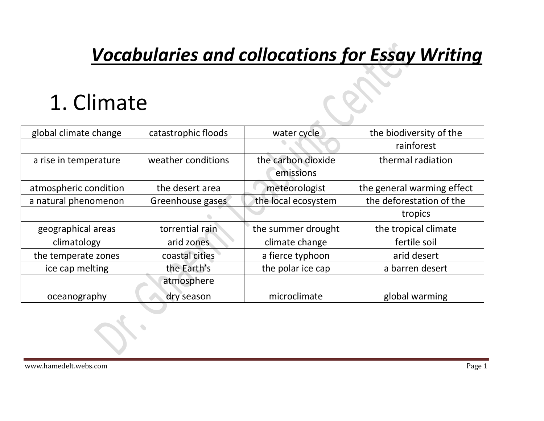#### *Vocabularies and collocations for Essay Writing*

#### 1. Climate

| global climate change | catastrophic floods | water cycle         | the biodiversity of the    |
|-----------------------|---------------------|---------------------|----------------------------|
|                       |                     |                     | rainforest                 |
| a rise in temperature | weather conditions  | the carbon dioxide  | thermal radiation          |
|                       |                     | emissions           |                            |
| atmospheric condition | the desert area     | meteorologist       | the general warming effect |
| a natural phenomenon  | Greenhouse gases    | the local ecosystem | the deforestation of the   |
|                       |                     |                     | tropics                    |
| geographical areas    | torrential rain     | the summer drought  | the tropical climate       |
| climatology           | arid zones          | climate change      | fertile soil               |
| the temperate zones   | coastal cities      | a fierce typhoon    | arid desert                |
| ice cap melting       | the Earth's         | the polar ice cap   | a barren desert            |
|                       | atmosphere          |                     |                            |
| oceanography          | dry season          | microclimate        | global warming             |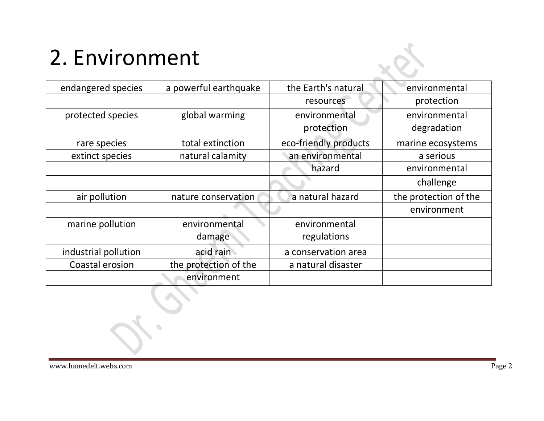# 2. Environment

| endangered species   | a powerful earthquake | the Earth's natural   | environmental         |
|----------------------|-----------------------|-----------------------|-----------------------|
|                      |                       | resources             | protection            |
| protected species    | global warming        | environmental         | environmental         |
|                      |                       | protection            | degradation           |
| rare species         | total extinction      | eco-friendly products | marine ecosystems     |
| extinct species      | natural calamity      | an environmental      | a serious             |
|                      |                       | hazard                | environmental         |
|                      |                       |                       | challenge             |
| air pollution        | nature conservation   | a natural hazard      | the protection of the |
|                      |                       |                       | environment           |
| marine pollution     | environmental         | environmental         |                       |
|                      | damage                | regulations           |                       |
| industrial pollution | acid rain             | a conservation area   |                       |
| Coastal erosion      | the protection of the | a natural disaster    |                       |
|                      | environment           |                       |                       |

 $\sum_{i=1}^{n}$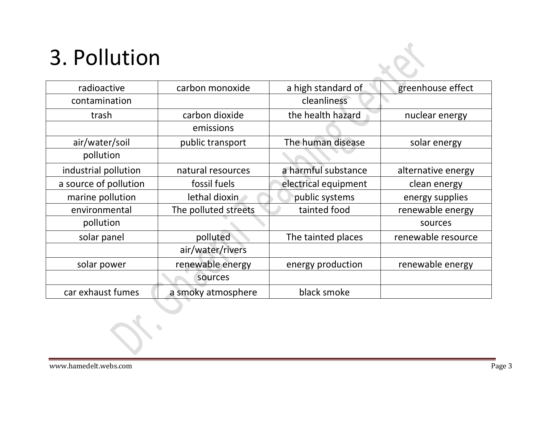# 3. Pollution

| radioactive           | carbon monoxide      | a high standard of   | greenhouse effect  |
|-----------------------|----------------------|----------------------|--------------------|
| contamination         |                      | cleanliness          |                    |
| trash                 | carbon dioxide       | the health hazard    | nuclear energy     |
|                       | emissions            |                      |                    |
| air/water/soil        | public transport     | The human disease    | solar energy       |
| pollution             |                      |                      |                    |
| industrial pollution  | natural resources    | a harmful substance  | alternative energy |
| a source of pollution | fossil fuels         | electrical equipment | clean energy       |
| marine pollution      | lethal dioxin        | public systems       | energy supplies    |
| environmental         | The polluted streets | tainted food         | renewable energy   |
| pollution             |                      |                      | sources            |
| solar panel           | polluted             | The tainted places   | renewable resource |
|                       | air/water/rivers     |                      |                    |
| solar power           | renewable energy     | energy production    | renewable energy   |
|                       | sources              |                      |                    |
| car exhaust fumes     | a smoky atmosphere   | black smoke          |                    |

 $\bullet$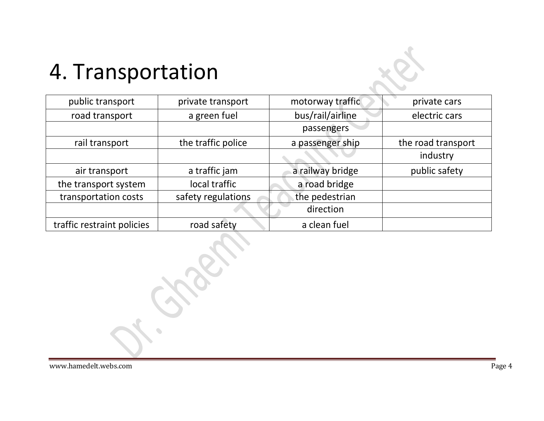#### 4. Transportation

| public transport           | private transport  | motorway traffic | private cars       |
|----------------------------|--------------------|------------------|--------------------|
| road transport             | a green fuel       | bus/rail/airline | electric cars      |
|                            |                    | passengers       |                    |
| rail transport             | the traffic police | a passenger ship | the road transport |
|                            |                    |                  | industry           |
| air transport              | a traffic jam      | a railway bridge | public safety      |
| the transport system       | local traffic      | a road bridge    |                    |
| transportation costs       | safety regulations | the pedestrian   |                    |
|                            |                    | direction        |                    |
| traffic restraint policies | road safety        | a clean fuel     |                    |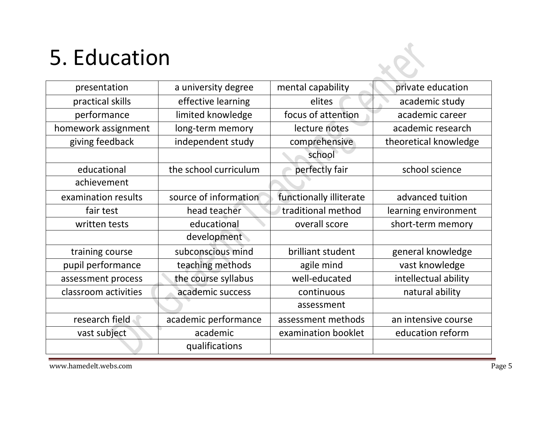# 5. Education

| presentation         | a university degree   | mental capability       | private education     |
|----------------------|-----------------------|-------------------------|-----------------------|
| practical skills     | effective learning    | elites                  | academic study        |
| performance          | limited knowledge     | focus of attention      | academic career       |
| homework assignment  | long-term memory      | lecture notes           | academic research     |
| giving feedback      | independent study     | comprehensive           | theoretical knowledge |
|                      |                       | school                  |                       |
| educational          | the school curriculum | perfectly fair          | school science        |
| achievement          |                       |                         |                       |
| examination results  | source of information | functionally illiterate | advanced tuition      |
| fair test            | head teacher          | traditional method      | learning environment  |
| written tests        | educational           | overall score           | short-term memory     |
|                      | development           |                         |                       |
| training course      | subconscious mind     | brilliant student       | general knowledge     |
| pupil performance    | teaching methods      | agile mind              | vast knowledge        |
| assessment process   | the course syllabus   | well-educated           | intellectual ability  |
| classroom activities | academic success      | continuous              | natural ability       |
|                      |                       | assessment              |                       |
| research field       | academic performance  | assessment methods      | an intensive course   |
| vast subject         | academic              | examination booklet     | education reform      |
|                      | qualifications        |                         |                       |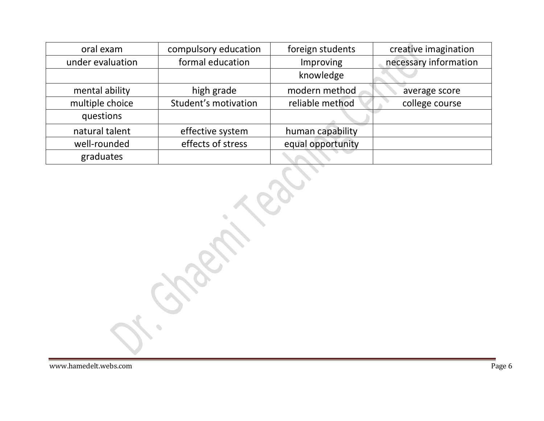| oral exam        | compulsory education | foreign students  | creative imagination  |
|------------------|----------------------|-------------------|-----------------------|
| under evaluation | formal education     | Improving         | necessary information |
|                  |                      | knowledge         |                       |
| mental ability   | high grade           | modern method     | average score         |
| multiple choice  | Student's motivation | reliable method   | college course        |
| questions        |                      |                   |                       |
| natural talent   | effective system     | human capability  |                       |
| well-rounded     | effects of stress    | equal opportunity |                       |
| graduates        |                      |                   |                       |

 $\bullet$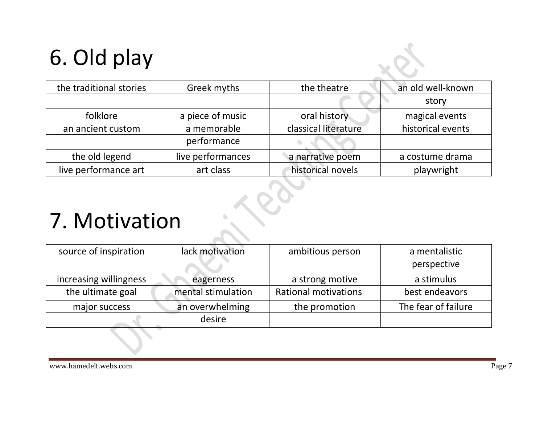# 6. Old play

| the traditional stories | Greek myths       | the theatre          | an old well-known |
|-------------------------|-------------------|----------------------|-------------------|
|                         |                   |                      | story             |
| folklore                | a piece of music  | oral history         | magical events    |
| an ancient custom       | a memorable       | classical literature | historical events |
|                         | performance       |                      |                   |
| the old legend          | live performances | a narrative poem     | a costume drama   |
| live performance art    | art class         | historical novels    | playwright        |

#### 7. Motivation

| source of inspiration  | lack motivation    | ambitious person            | a mentalistic       |
|------------------------|--------------------|-----------------------------|---------------------|
|                        |                    |                             | perspective         |
| increasing willingness | eagerness          | a strong motive             | a stimulus          |
| the ultimate goal      | mental stimulation | <b>Rational motivations</b> | best endeavors      |
| major success          | an overwhelming    | the promotion               | The fear of failure |
|                        | desire             |                             |                     |

 $\bullet$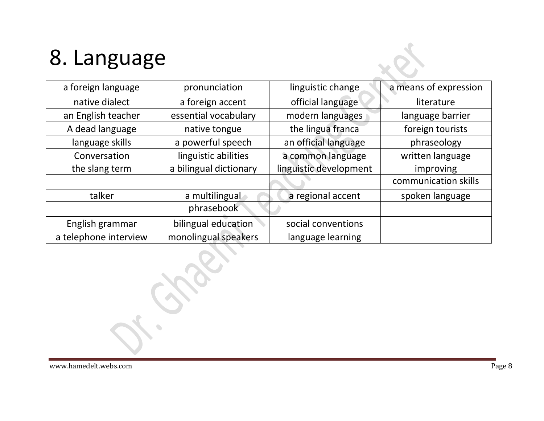# 8. Language

| a foreign language    | pronunciation          | linguistic change      | a means of expression |
|-----------------------|------------------------|------------------------|-----------------------|
| native dialect        | a foreign accent       | official language      | literature            |
| an English teacher    | essential vocabulary   | modern languages       | language barrier      |
| A dead language       | native tongue          | the lingua franca      | foreign tourists      |
| language skills       | a powerful speech      | an official language   | phraseology           |
| Conversation          | linguistic abilities   | a common language      | written language      |
| the slang term        | a bilingual dictionary | linguistic development | improving             |
|                       |                        |                        | communication skills  |
| talker                | a multilingual         | a regional accent      | spoken language       |
|                       | phrasebook             |                        |                       |
| English grammar       | bilingual education    | social conventions     |                       |
| a telephone interview | monolingual speakers   | language learning      |                       |

 $\bullet$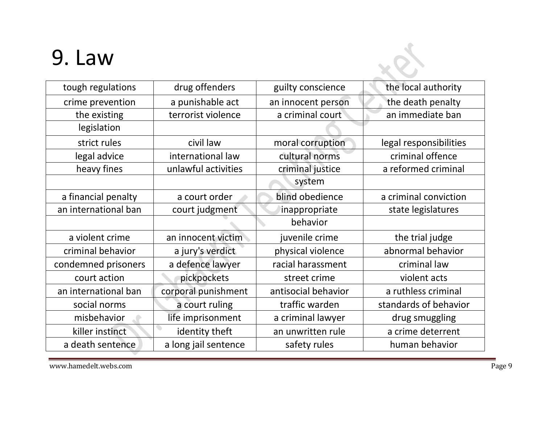#### 9. Law

| 9. Law               |                      |                     |                        |
|----------------------|----------------------|---------------------|------------------------|
| tough regulations    | drug offenders       | guilty conscience   | the local authority    |
| crime prevention     | a punishable act     | an innocent person  | the death penalty      |
| the existing         | terrorist violence   | a criminal court    | an immediate ban       |
| legislation          |                      |                     |                        |
| strict rules         | civil law            | moral corruption    | legal responsibilities |
| legal advice         | international law    | cultural norms      | criminal offence       |
| heavy fines          | unlawful activities  | criminal justice    | a reformed criminal    |
|                      |                      | system              |                        |
| a financial penalty  | a court order        | blind obedience     | a criminal conviction  |
| an international ban | court judgment       | inappropriate       | state legislatures     |
|                      |                      | behavior            |                        |
| a violent crime      | an innocent victim   | juvenile crime      | the trial judge        |
| criminal behavior    | a jury's verdict     | physical violence   | abnormal behavior      |
| condemned prisoners  | a defence lawyer     | racial harassment   | criminal law           |
| court action         | pickpockets          | street crime        | violent acts           |
| an international ban | corporal punishment  | antisocial behavior | a ruthless criminal    |
| social norms         | a court ruling       | traffic warden      | standards of behavior  |
| misbehavior          | life imprisonment    | a criminal lawyer   | drug smuggling         |
| killer instinct      | identity theft       | an unwritten rule   | a crime deterrent      |
| a death sentence     | a long jail sentence | safety rules        | human behavior         |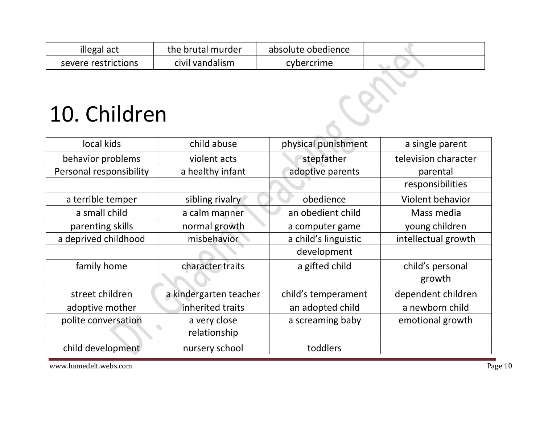| illegal act         | the brutal murder | absolute obedience |  |
|---------------------|-------------------|--------------------|--|
| severe restrictions | civil vandalism   | cybercrime         |  |

# 10. Children

| 10. Children            |                        |                      |                      |
|-------------------------|------------------------|----------------------|----------------------|
| local kids              | child abuse            | physical punishment  | a single parent      |
| behavior problems       | violent acts           | stepfather           | television character |
| Personal responsibility | a healthy infant       | adoptive parents     | parental             |
|                         |                        |                      | responsibilities     |
| a terrible temper       | sibling rivalry        | obedience            | Violent behavior     |
| a small child           | a calm manner          | an obedient child    | Mass media           |
| parenting skills        | normal growth          | a computer game      | young children       |
| a deprived childhood    | misbehavior            | a child's linguistic | intellectual growth  |
|                         |                        | development          |                      |
| family home             | character traits       | a gifted child       | child's personal     |
|                         |                        |                      | growth               |
| street children         | a kindergarten teacher | child's temperament  | dependent children   |
| adoptive mother         | inherited traits       | an adopted child     | a newborn child      |
| polite conversation     | a very close           | a screaming baby     | emotional growth     |
|                         | relationship           |                      |                      |
| child development       | nursery school         | toddlers             |                      |

www.hamedelt.webs.com Page 10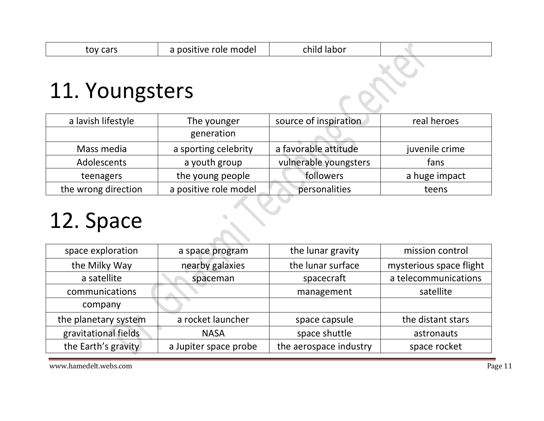| toy cars       | a positive role model | child labor |  |
|----------------|-----------------------|-------------|--|
| 11. Youngsters |                       |             |  |

| a lavish lifestyle  | The younger           | source of inspiration | real heroes    |
|---------------------|-----------------------|-----------------------|----------------|
|                     | generation            |                       |                |
| Mass media          | a sporting celebrity  | a favorable attitude  | juvenile crime |
| Adolescents         | a youth group         | vulnerable youngsters | fans           |
| teenagers           | the young people      | followers             | a huge impact  |
| the wrong direction | a positive role model | personalities         | teens          |

O

 $\bullet$ 

#### 12. Space

| space exploration    | a space program       | the lunar gravity      | mission control         |
|----------------------|-----------------------|------------------------|-------------------------|
| the Milky Way        | nearby galaxies       | the lunar surface      | mysterious space flight |
| a satellite          | spaceman              | spacecraft             | a telecommunications    |
| communications       |                       | management             | satellite               |
| company              |                       |                        |                         |
| the planetary system | a rocket launcher     | space capsule          | the distant stars       |
| gravitational fields | <b>NASA</b>           | space shuttle          | astronauts              |
| the Earth's gravity  | a Jupiter space probe | the aerospace industry | space rocket            |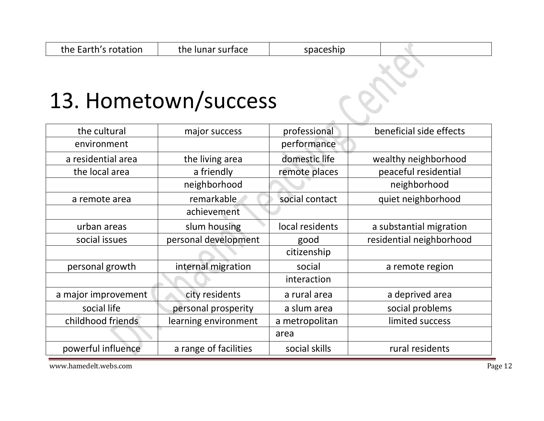# 13. Hometown/success

| the cultural        | major success         | professional    | beneficial side effects  |
|---------------------|-----------------------|-----------------|--------------------------|
| environment         |                       | performance     |                          |
| a residential area  | the living area       | domestic life   | wealthy neighborhood     |
| the local area      | a friendly            | remote places   | peaceful residential     |
|                     | neighborhood          |                 | neighborhood             |
| a remote area       | remarkable            | social contact  | quiet neighborhood       |
|                     | achievement           |                 |                          |
| urban areas         | slum housing          | local residents | a substantial migration  |
| social issues       | personal development  | good            | residential neighborhood |
|                     |                       | citizenship     |                          |
| personal growth     | internal migration    | social          | a remote region          |
|                     |                       | interaction     |                          |
| a major improvement | city residents        | a rural area    | a deprived area          |
| social life         | personal prosperity   | a slum area     | social problems          |
| childhood friends   | learning environment  | a metropolitan  | limited success          |
|                     |                       | area            |                          |
| powerful influence  | a range of facilities | social skills   | rural residents          |

www.hamedelt.webs.com Page 12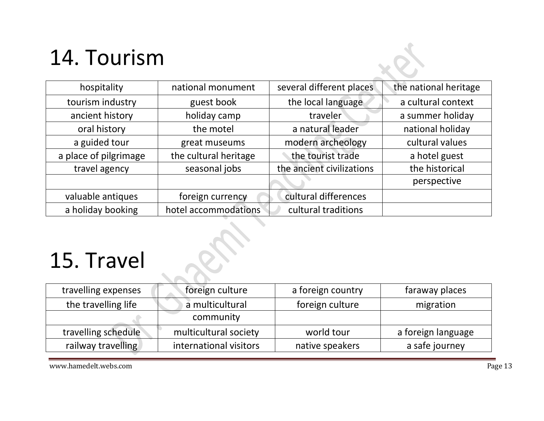# 14. Tourism

| hospitality           | national monument     | several different places  | the national heritage |
|-----------------------|-----------------------|---------------------------|-----------------------|
| tourism industry      | guest book            | the local language        | a cultural context    |
| ancient history       | holiday camp          | traveler                  | a summer holiday      |
| oral history          | the motel             | a natural leader          | national holiday      |
| a guided tour         | great museums         | modern archeology         | cultural values       |
| a place of pilgrimage | the cultural heritage | the tourist trade         | a hotel guest         |
| travel agency         | seasonal jobs         | the ancient civilizations | the historical        |
|                       |                       |                           | perspective           |
| valuable antiques     | foreign currency      | cultural differences      |                       |
| a holiday booking     | hotel accommodations  | cultural traditions       |                       |

# 15. Travel

| travelling expenses | foreign culture        | a foreign country | faraway places     |
|---------------------|------------------------|-------------------|--------------------|
| the travelling life | a multicultural        | foreign culture   | migration          |
|                     | community              |                   |                    |
| travelling schedule | multicultural society  | world tour        | a foreign language |
| railway travelling  | international visitors | native speakers   | a safe journey     |

www.hamedelt.webs.com Page 13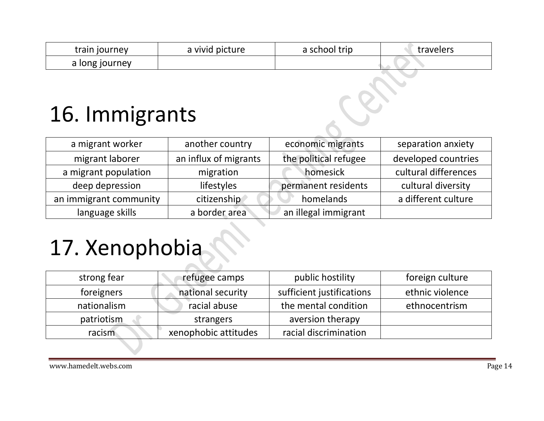| train journey  | a vivid picture | a school trip | travelers |
|----------------|-----------------|---------------|-----------|
| a long journey |                 |               |           |

#### 16. Immigrants

| a migrant worker       | another country       | economic migrants     | separation anxiety   |
|------------------------|-----------------------|-----------------------|----------------------|
| migrant laborer        | an influx of migrants | the political refugee | developed countries  |
| a migrant population   | migration             | homesick              | cultural differences |
| deep depression        | lifestyles            | permanent residents   | cultural diversity   |
| an immigrant community | citizenship           | homelands             | a different culture  |
| language skills        | a border area         | an illegal immigrant  |                      |

# 17. Xenophobia

| strong fear | refugee camps        | public hostility          | foreign culture |
|-------------|----------------------|---------------------------|-----------------|
| foreigners  | national security    | sufficient justifications | ethnic violence |
| nationalism | racial abuse         | the mental condition      | ethnocentrism   |
| patriotism  | strangers            | aversion therapy          |                 |
| racism      | xenophobic attitudes | racial discrimination     |                 |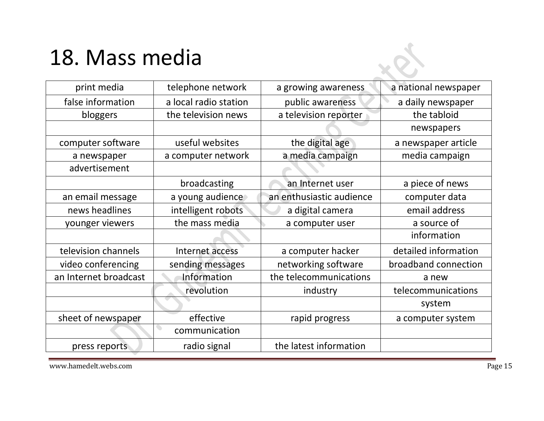#### 18. Mass media

| print media           | telephone network                         | a growing awareness      | a national newspaper |
|-----------------------|-------------------------------------------|--------------------------|----------------------|
| false information     | a local radio station                     | public awareness         | a daily newspaper    |
| bloggers              | the television news                       | a television reporter    | the tabloid          |
|                       |                                           |                          | newspapers           |
| computer software     | useful websites                           | the digital age          | a newspaper article  |
| a newspaper           | a computer network                        | a media campaign         | media campaign       |
| advertisement         |                                           |                          |                      |
|                       | broadcasting                              | an Internet user         | a piece of news      |
| an email message      | a young audience                          | an enthusiastic audience | computer data        |
| news headlines        | intelligent robots                        | a digital camera         | email address        |
| younger viewers       | the mass media                            | a computer user          | a source of          |
|                       |                                           |                          | information          |
| television channels   | Internet access                           | a computer hacker        | detailed information |
| video conferencing    | sending messages                          | networking software      | broadband connection |
| an Internet broadcast | Information                               | the telecommunications   | a new                |
|                       | revolution                                | industry                 | telecommunications   |
|                       |                                           |                          | system               |
| sheet of newspaper    | effective                                 | rapid progress           | a computer system    |
|                       | $\overline{\phantom{a}}$<br>communication |                          |                      |
| press reports         | radio signal                              | the latest information   |                      |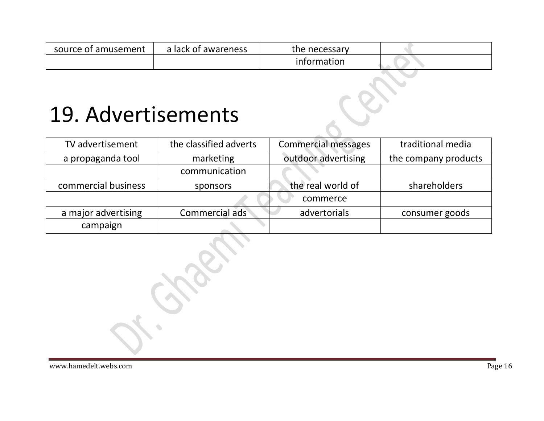| source of amusement | a lack of awareness | the necessary |  |
|---------------------|---------------------|---------------|--|
|                     |                     | information   |  |

#### 19. Advertisements

| TV advertisement    | the classified adverts | <b>Commercial messages</b> | traditional media    |
|---------------------|------------------------|----------------------------|----------------------|
| a propaganda tool   | marketing              | outdoor advertising        | the company products |
|                     | communication          |                            |                      |
| commercial business | sponsors               | the real world of          | shareholders         |
|                     |                        | commerce                   |                      |
| a major advertising | Commercial ads         | advertorials               | consumer goods       |
| campaign            |                        |                            |                      |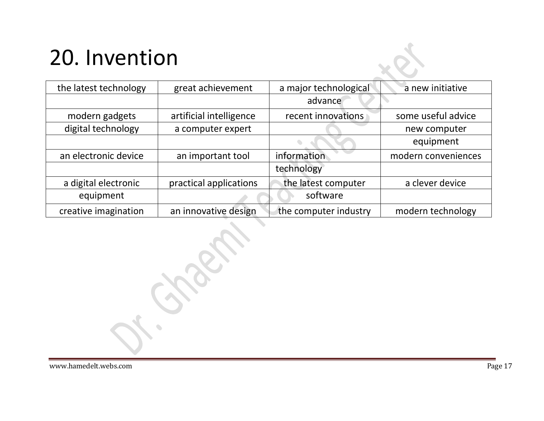# 20. Invention

| the latest technology | great achievement       | a major technological | a new initiative    |
|-----------------------|-------------------------|-----------------------|---------------------|
|                       |                         | advance               |                     |
| modern gadgets        | artificial intelligence | recent innovations    | some useful advice  |
| digital technology    | a computer expert       |                       | new computer        |
|                       |                         |                       | equipment           |
| an electronic device  | an important tool       | information           | modern conveniences |
|                       |                         | technology            |                     |
| a digital electronic  | practical applications  | the latest computer   | a clever device     |
| equipment             |                         | software              |                     |
| creative imagination  | an innovative design    | the computer industry | modern technology   |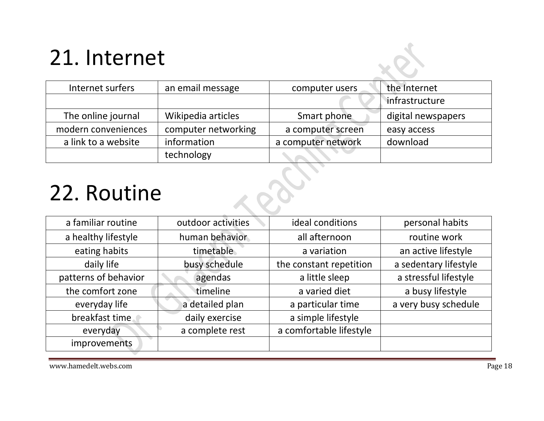# 21. Internet

| Internet surfers    | an email message    | computer users     | the Internet       |
|---------------------|---------------------|--------------------|--------------------|
|                     |                     |                    | infrastructure     |
| The online journal  | Wikipedia articles  | Smart phone        | digital newspapers |
| modern conveniences | computer networking | a computer screen  | easy access        |
| a link to a website | information         | a computer network | download           |
|                     | technology          |                    |                    |

O.

#### 22. Routine

| a familiar routine   | outdoor activities | ideal conditions        | personal habits       |
|----------------------|--------------------|-------------------------|-----------------------|
| a healthy lifestyle  | human behavior     | all afternoon           | routine work          |
| eating habits        | timetable          | a variation             | an active lifestyle   |
| daily life           | busy schedule      | the constant repetition | a sedentary lifestyle |
| patterns of behavior | agendas            | a little sleep          | a stressful lifestyle |
| the comfort zone     | timeline           | a varied diet           | a busy lifestyle      |
| everyday life        | a detailed plan    | a particular time       | a very busy schedule  |
| breakfast time.      | daily exercise     | a simple lifestyle      |                       |
| everyday             | a complete rest    | a comfortable lifestyle |                       |
| improvements         |                    |                         |                       |

www.hamedelt.webs.com Page 18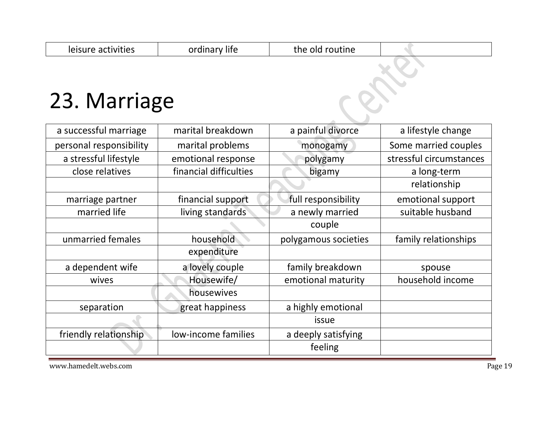| 23. Marriage            |                        |                      |                         |
|-------------------------|------------------------|----------------------|-------------------------|
| a successful marriage   | marital breakdown      | a painful divorce    | a lifestyle change      |
| personal responsibility | marital problems       | monogamy             | Some married couples    |
| a stressful lifestyle   | emotional response     | polygamy             | stressful circumstances |
| close relatives         | financial difficulties | bigamy               | a long-term             |
|                         |                        |                      | relationship            |
| marriage partner        | financial support      | full responsibility  | emotional support       |
| married life            | living standards       | a newly married      | suitable husband        |
|                         |                        | couple               |                         |
| unmarried females       | household              | polygamous societies | family relationships    |
|                         | expenditure            |                      |                         |
| a dependent wife        | a lovely couple        | family breakdown     | spouse                  |
| wives                   | Housewife/             | emotional maturity   | household income        |
|                         | housewives             |                      |                         |
| separation              | great happiness        | a highly emotional   |                         |
|                         |                        | issue                |                         |
| friendly relationship   | low-income families    | a deeply satisfying  |                         |
|                         |                        | feeling              |                         |

leisure activities and in the old routine the old routine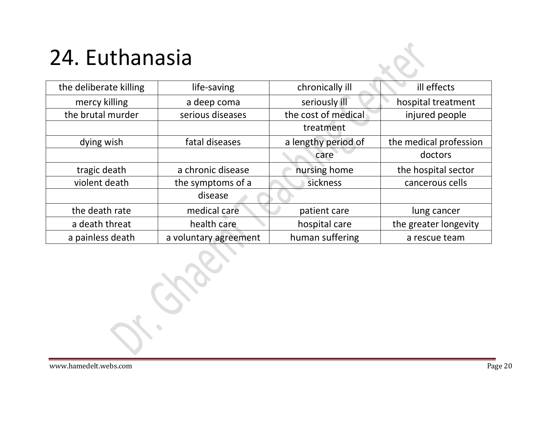# 24. Euthanasia

| the deliberate killing | life-saving           | chronically ill     | ill effects            |
|------------------------|-----------------------|---------------------|------------------------|
| mercy killing          | a deep coma           | seriously ill       | hospital treatment     |
| the brutal murder      | serious diseases      | the cost of medical | injured people         |
|                        |                       | treatment           |                        |
| dying wish             | fatal diseases        | a lengthy period of | the medical profession |
|                        |                       | care                | doctors                |
| tragic death           | a chronic disease     | nursing home        | the hospital sector    |
| violent death          | the symptoms of a     | sickness            | cancerous cells        |
|                        | disease               |                     |                        |
| the death rate         | medical care          | patient care        | lung cancer            |
| a death threat         | health care           | hospital care       | the greater longevity  |
| a painless death       | a voluntary agreement | human suffering     | a rescue team          |

 $\bullet$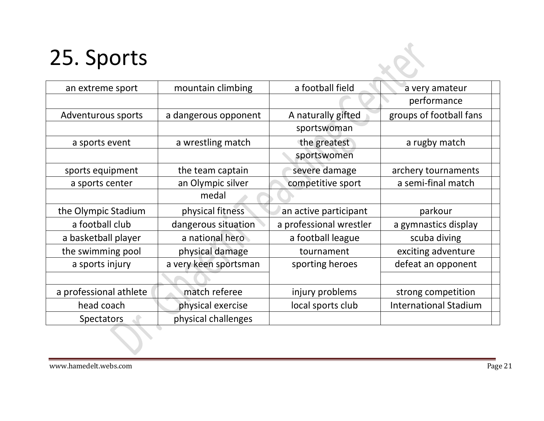# 25. Sports

| 25. Sports             |                       |                         |                              |
|------------------------|-----------------------|-------------------------|------------------------------|
| an extreme sport       | mountain climbing     | a football field        | a very amateur               |
|                        |                       |                         | performance                  |
| Adventurous sports     | a dangerous opponent  | A naturally gifted      | groups of football fans      |
|                        |                       | sportswoman             |                              |
| a sports event         | a wrestling match     | the greatest            | a rugby match                |
|                        |                       | sportswomen             |                              |
| sports equipment       | the team captain      | severe damage           | archery tournaments          |
| a sports center        | an Olympic silver     | competitive sport       | a semi-final match           |
|                        | medal                 |                         |                              |
| the Olympic Stadium    | physical fitness      | an active participant   | parkour                      |
| a football club        | dangerous situation   | a professional wrestler | a gymnastics display         |
| a basketball player    | a national hero       | a football league       | scuba diving                 |
| the swimming pool      | physical damage       | tournament              | exciting adventure           |
| a sports injury        | a very keen sportsman | sporting heroes         | defeat an opponent           |
|                        |                       |                         |                              |
| a professional athlete | match referee         | injury problems         | strong competition           |
| head coach             | physical exercise     | local sports club       | <b>International Stadium</b> |
| Spectators             | physical challenges   |                         |                              |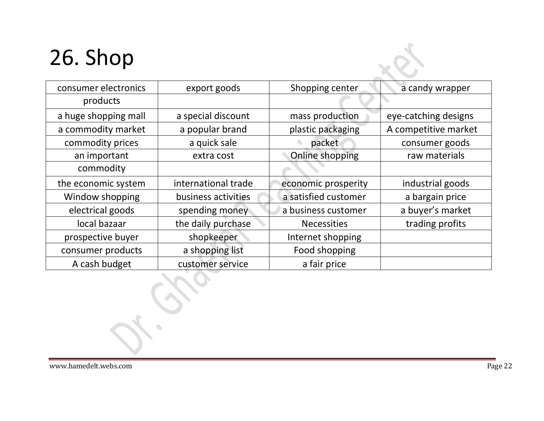# 26. Shop

| consumer electronics | export goods        | Shopping center      | a candy wrapper      |
|----------------------|---------------------|----------------------|----------------------|
| products             |                     |                      |                      |
| a huge shopping mall | a special discount  | mass production      | eye-catching designs |
| a commodity market   | a popular brand     | plastic packaging    | A competitive market |
| commodity prices     | a quick sale        | packet               | consumer goods       |
| an important         | extra cost          | Online shopping      | raw materials        |
| commodity            |                     |                      |                      |
| the economic system  | international trade | economic prosperity  | industrial goods     |
| Window shopping      | business activities | a satisfied customer | a bargain price      |
| electrical goods     | spending money      | a business customer  | a buyer's market     |
| local bazaar         | the daily purchase  | <b>Necessities</b>   | trading profits      |
| prospective buyer    | shopkeeper          | Internet shopping    |                      |
| consumer products    | a shopping list     | Food shopping        |                      |
| A cash budget        | customer service    | a fair price         |                      |

 $\bullet$ 

 $\mathbf{Q}$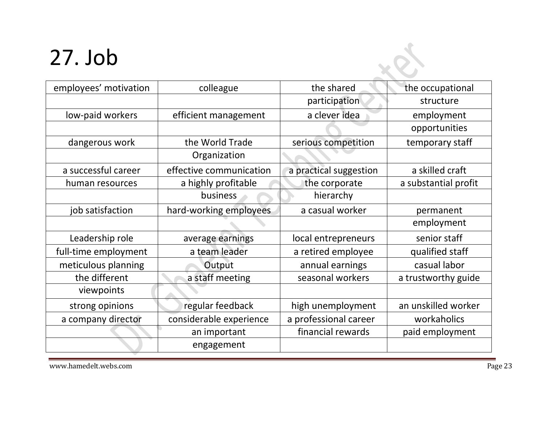# 27. Job

| employees' motivation | colleague               | the shared             | the occupational     |
|-----------------------|-------------------------|------------------------|----------------------|
|                       |                         | participation          | structure            |
| low-paid workers      | efficient management    | a clever idea          | employment           |
|                       |                         |                        | opportunities        |
| dangerous work        | the World Trade         | serious competition    | temporary staff      |
|                       | Organization            |                        |                      |
| a successful career   | effective communication | a practical suggestion | a skilled craft      |
| human resources       | a highly profitable     | the corporate          | a substantial profit |
|                       | business                | hierarchy              |                      |
| job satisfaction      | hard-working employees  | a casual worker        | permanent            |
|                       |                         |                        | employment           |
| Leadership role       | average earnings        | local entrepreneurs    | senior staff         |
| full-time employment  | a team leader           | a retired employee     | qualified staff      |
| meticulous planning   | Output                  | annual earnings        | casual labor         |
| the different         | a staff meeting         | seasonal workers       | a trustworthy guide  |
| viewpoints            |                         |                        |                      |
| strong opinions       | regular feedback        | high unemployment      | an unskilled worker  |
| a company director    | considerable experience | a professional career  | workaholics          |
|                       | an important            | financial rewards      | paid employment      |
|                       | engagement              |                        |                      |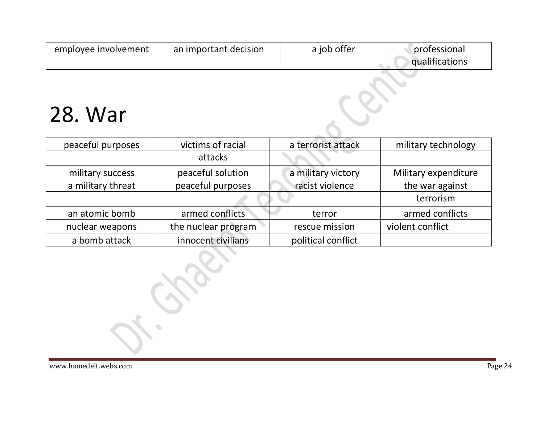| employee involvement | an important decision | a job offer | professional          |
|----------------------|-----------------------|-------------|-----------------------|
|                      |                       |             | <b>qualifications</b> |

#### 28. War

| peaceful purposes | victims of racial   | a terrorist attack | military technology  |
|-------------------|---------------------|--------------------|----------------------|
|                   | attacks             |                    |                      |
| military success  | peaceful solution   | a military victory | Military expenditure |
| a military threat | peaceful purposes   | racist violence    | the war against      |
|                   |                     |                    | terrorism            |
| an atomic bomb    | armed conflicts     | terror             | armed conflicts      |
| nuclear weapons   | the nuclear program | rescue mission     | violent conflict     |
| a bomb attack     | innocent civilians  | political conflict |                      |

 $\begin{array}{c} \bullet \\ \bullet \end{array}$